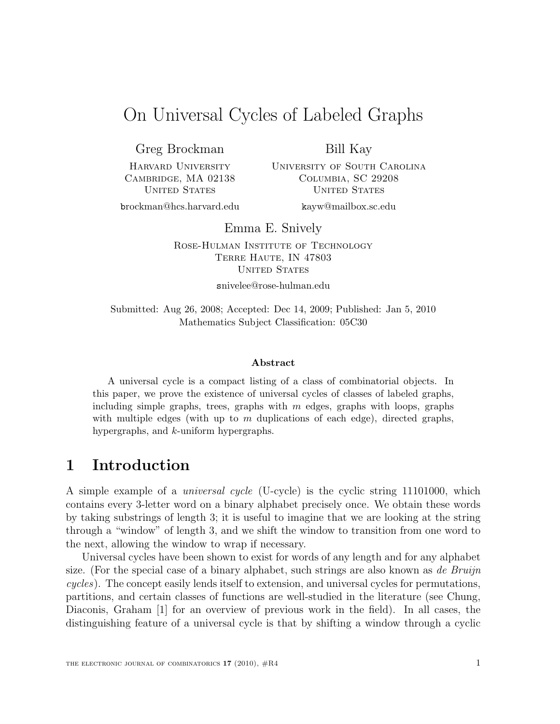# On Universal Cycles of Labeled Graphs

Greg Brockman

Bill Kay

Harvard University Cambridge, MA 02138 UNITED STATES

University of South Carolina Columbia, SC 29208 UNITED STATES

brockman@hcs.harvard.edu

kayw@mailbox.sc.edu

Emma E. Snively

Rose-Hulman Institute of Technology Terre Haute, IN 47803 UNITED STATES

snivelee@rose-hulman.edu

Submitted: Aug 26, 2008; Accepted: Dec 14, 2009; Published: Jan 5, 2010 Mathematics Subject Classification: 05C30

#### Abstract

A universal cycle is a compact listing of a class of combinatorial objects. In this paper, we prove the existence of universal cycles of classes of labeled graphs, including simple graphs, trees, graphs with  $m$  edges, graphs with loops, graphs with multiple edges (with up to  $m$  duplications of each edge), directed graphs, hypergraphs, and k-uniform hypergraphs.

## 1 Introduction

A simple example of a universal cycle (U-cycle) is the cyclic string 11101000, which contains every 3-letter word on a binary alphabet precisely once. We obtain these words by taking substrings of length 3; it is useful to imagine that we are looking at the string through a "window" of length 3, and we shift the window to transition from one word to the next, allowing the window to wrap if necessary.

Universal cycles have been shown to exist for words of any length and for any alphabet size. (For the special case of a binary alphabet, such strings are also known as de Bruijn cycles). The concept easily lends itself to extension, and universal cycles for permutations, partitions, and certain classes of functions are well-studied in the literature (see Chung, Diaconis, Graham [1] for an overview of previous work in the field). In all cases, the distinguishing feature of a universal cycle is that by shifting a window through a cyclic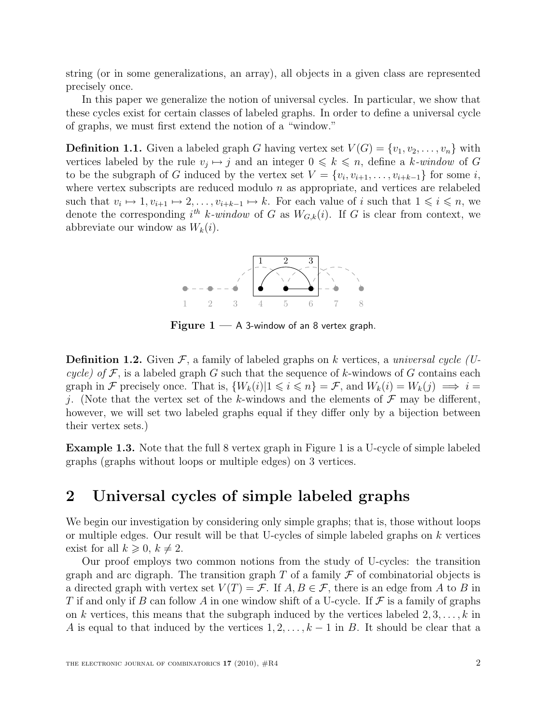string (or in some generalizations, an array), all objects in a given class are represented precisely once.

In this paper we generalize the notion of universal cycles. In particular, we show that these cycles exist for certain classes of labeled graphs. In order to define a universal cycle of graphs, we must first extend the notion of a "window."

**Definition 1.1.** Given a labeled graph G having vertex set  $V(G) = \{v_1, v_2, \ldots, v_n\}$  with vertices labeled by the rule  $v_j \mapsto j$  and an integer  $0 \leq k \leq n$ , define a k-window of G to be the subgraph of G induced by the vertex set  $V = \{v_i, v_{i+1}, \ldots, v_{i+k-1}\}\$  for some i, where vertex subscripts are reduced modulo  $n$  as appropriate, and vertices are relabeled such that  $v_i \mapsto 1, v_{i+1} \mapsto 2, \ldots, v_{i+k-1} \mapsto k$ . For each value of i such that  $1 \leq i \leq n$ , we denote the corresponding  $i^{th}$  k-window of G as  $W_{G,k}(i)$ . If G is clear from context, we abbreviate our window as  $W_k(i)$ .



Figure  $1 - A$  3-window of an 8 vertex graph.

**Definition 1.2.** Given  $\mathcal{F}$ , a family of labeled graphs on k vertices, a universal cycle (Ucycle) of F, is a labeled graph G such that the sequence of k-windows of G contains each graph in F precisely once. That is,  $\{W_k(i)|1 \leq i \leq n\} = \mathcal{F}$ , and  $W_k(i) = W_k(j) \implies i =$ j. (Note that the vertex set of the k-windows and the elements of  $\mathcal F$  may be different, however, we will set two labeled graphs equal if they differ only by a bijection between their vertex sets.)

Example 1.3. Note that the full 8 vertex graph in Figure 1 is a U-cycle of simple labeled graphs (graphs without loops or multiple edges) on 3 vertices.

### 2 Universal cycles of simple labeled graphs

We begin our investigation by considering only simple graphs; that is, those without loops or multiple edges. Our result will be that U-cycles of simple labeled graphs on  $k$  vertices exist for all  $k \geqslant 0, k \neq 2$ .

Our proof employs two common notions from the study of U-cycles: the transition graph and arc digraph. The transition graph T of a family  $\mathcal F$  of combinatorial objects is a directed graph with vertex set  $V(T) = \mathcal{F}$ . If  $A, B \in \mathcal{F}$ , there is an edge from A to B in T if and only if B can follow A in one window shift of a U-cycle. If  $\mathcal F$  is a family of graphs on k vertices, this means that the subgraph induced by the vertices labeled  $2, 3, \ldots, k$  in A is equal to that induced by the vertices  $1, 2, \ldots, k-1$  in B. It should be clear that a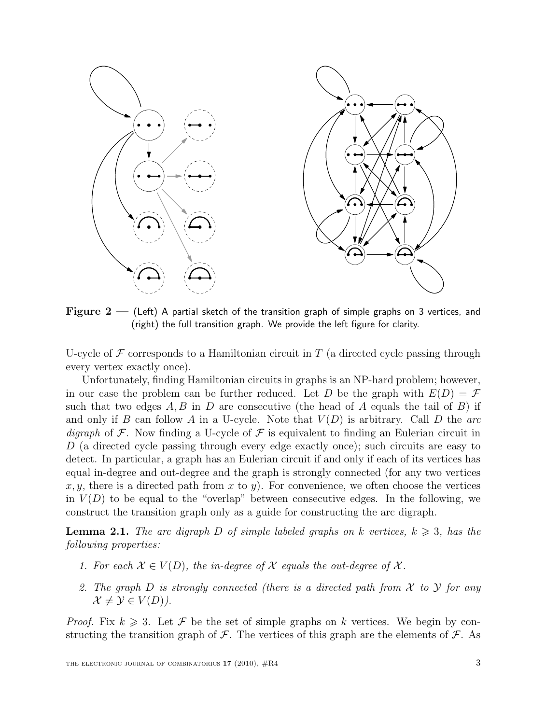

Figure  $2$  — (Left) A partial sketch of the transition graph of simple graphs on 3 vertices, and (right) the full transition graph. We provide the left figure for clarity.

U-cycle of  $\mathcal F$  corresponds to a Hamiltonian circuit in  $T$  (a directed cycle passing through every vertex exactly once).

Unfortunately, finding Hamiltonian circuits in graphs is an NP-hard problem; however, in our case the problem can be further reduced. Let D be the graph with  $E(D) = \mathcal{F}$ such that two edges  $A, B$  in  $D$  are consecutive (the head of  $A$  equals the tail of  $B$ ) if and only if B can follow A in a U-cycle. Note that  $V(D)$  is arbitrary. Call D the arc digraph of  $\mathcal F$ . Now finding a U-cycle of  $\mathcal F$  is equivalent to finding an Eulerian circuit in D (a directed cycle passing through every edge exactly once); such circuits are easy to detect. In particular, a graph has an Eulerian circuit if and only if each of its vertices has equal in-degree and out-degree and the graph is strongly connected (for any two vertices  $x, y$ , there is a directed path from x to y). For convenience, we often choose the vertices in  $V(D)$  to be equal to the "overlap" between consecutive edges. In the following, we construct the transition graph only as a guide for constructing the arc digraph.

**Lemma 2.1.** The arc digraph D of simple labeled graphs on k vertices,  $k \geq 3$ , has the following properties:

- 1. For each  $\mathcal{X} \in V(D)$ , the in-degree of X equals the out-degree of X.
- 2. The graph D is strongly connected (there is a directed path from  $\mathcal X$  to  $\mathcal Y$  for any  $\mathcal{X} \neq \mathcal{Y} \in V(D)$ ).

*Proof.* Fix  $k \geq 3$ . Let F be the set of simple graphs on k vertices. We begin by constructing the transition graph of  $\mathcal F$ . The vertices of this graph are the elements of  $\mathcal F$ . As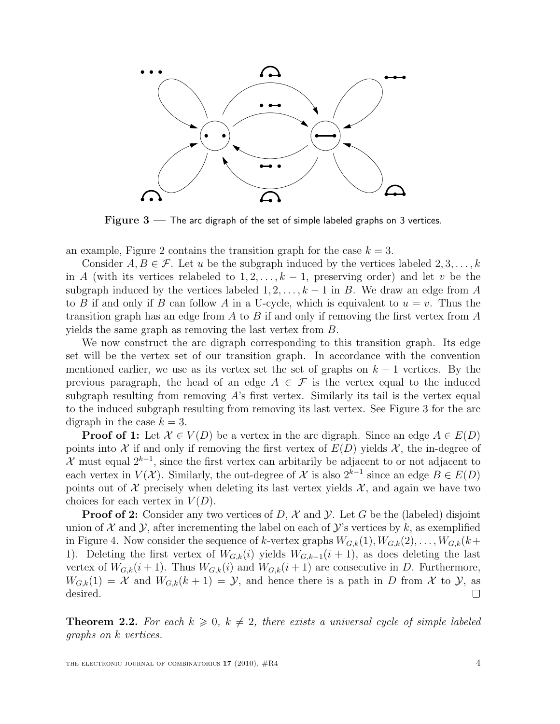

Figure  $3$  — The arc digraph of the set of simple labeled graphs on 3 vertices.

an example, Figure 2 contains the transition graph for the case  $k = 3$ .

Consider  $A, B \in \mathcal{F}$ . Let u be the subgraph induced by the vertices labeled  $2, 3, \ldots, k$ in A (with its vertices relabeled to  $1, 2, \ldots, k - 1$ , preserving order) and let v be the subgraph induced by the vertices labeled  $1, 2, \ldots, k-1$  in B. We draw an edge from A to B if and only if B can follow A in a U-cycle, which is equivalent to  $u = v$ . Thus the transition graph has an edge from  $A$  to  $B$  if and only if removing the first vertex from  $A$ yields the same graph as removing the last vertex from B.

We now construct the arc digraph corresponding to this transition graph. Its edge set will be the vertex set of our transition graph. In accordance with the convention mentioned earlier, we use as its vertex set the set of graphs on  $k-1$  vertices. By the previous paragraph, the head of an edge  $A \in \mathcal{F}$  is the vertex equal to the induced subgraph resulting from removing A's first vertex. Similarly its tail is the vertex equal to the induced subgraph resulting from removing its last vertex. See Figure 3 for the arc digraph in the case  $k = 3$ .

**Proof of 1:** Let  $\mathcal{X} \in V(D)$  be a vertex in the arc digraph. Since an edge  $A \in E(D)$ points into X if and only if removing the first vertex of  $E(D)$  yields X, the in-degree of X must equal  $2^{k-1}$ , since the first vertex can arbitarily be adjacent to or not adjacent to each vertex in  $V(\mathcal{X})$ . Similarly, the out-degree of X is also  $2^{k-1}$  since an edge  $B \in E(D)$ points out of  $\mathcal X$  precisely when deleting its last vertex yields  $\mathcal X$ , and again we have two choices for each vertex in  $V(D)$ .

**Proof of 2:** Consider any two vertices of D,  $\mathcal{X}$  and  $\mathcal{Y}$ . Let G be the (labeled) disjoint union of X and Y, after incrementing the label on each of Y's vertices by k, as exemplified in Figure 4. Now consider the sequence of k-vertex graphs  $W_{G,k}(1), W_{G,k}(2), \ldots, W_{G,k}(k+1)$ 1). Deleting the first vertex of  $W_{G,k}(i)$  yields  $W_{G,k-1}(i + 1)$ , as does deleting the last vertex of  $W_{G,k}(i+1)$ . Thus  $W_{G,k}(i)$  and  $W_{G,k}(i+1)$  are consecutive in D. Furthermore,  $W_{G,k}(1) = \mathcal{X}$  and  $W_{G,k}(k+1) = \mathcal{Y}$ , and hence there is a path in D from X to Y, as desired.  $\Box$ 

**Theorem 2.2.** For each  $k \geq 0$ ,  $k \neq 2$ , there exists a universal cycle of simple labeled graphs on k vertices.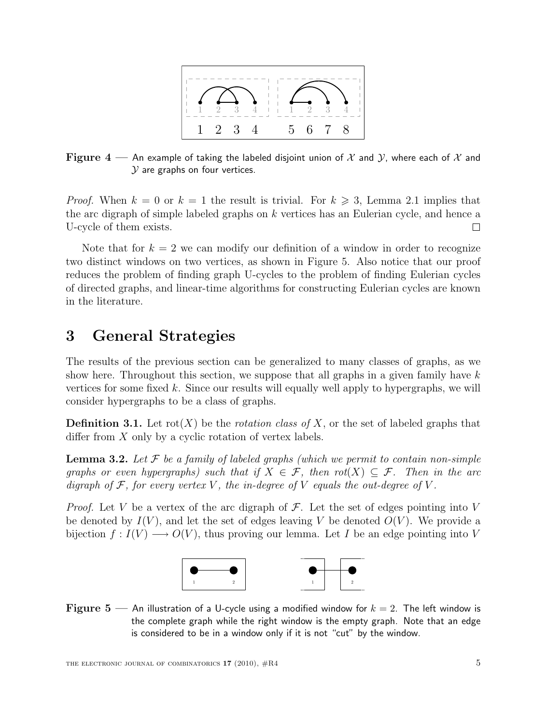

Figure 4 — An example of taking the labeled disjoint union of X and Y, where each of X and  $Y$  are graphs on four vertices.

*Proof.* When  $k = 0$  or  $k = 1$  the result is trivial. For  $k \geq 3$ , Lemma 2.1 implies that the arc digraph of simple labeled graphs on k vertices has an Eulerian cycle, and hence a U-cycle of them exists.  $\Box$ 

Note that for  $k = 2$  we can modify our definition of a window in order to recognize two distinct windows on two vertices, as shown in Figure 5. Also notice that our proof reduces the problem of finding graph U-cycles to the problem of finding Eulerian cycles of directed graphs, and linear-time algorithms for constructing Eulerian cycles are known in the literature.

## 3 General Strategies

The results of the previous section can be generalized to many classes of graphs, as we show here. Throughout this section, we suppose that all graphs in a given family have  $k$ vertices for some fixed  $k$ . Since our results will equally well apply to hypergraphs, we will consider hypergraphs to be a class of graphs.

**Definition 3.1.** Let  $\text{rot}(X)$  be the *rotation class of* X, or the set of labeled graphs that differ from X only by a cyclic rotation of vertex labels.

**Lemma 3.2.** Let  $\mathcal F$  be a family of labeled graphs (which we permit to contain non-simple graphs or even hypergraphs) such that if  $X \in \mathcal{F}$ , then rot(X)  $\subseteq \mathcal{F}$ . Then in the arc digraph of  $\mathcal F$ , for every vertex V, the in-degree of V equals the out-degree of V.

*Proof.* Let V be a vertex of the arc digraph of  $\mathcal F$ . Let the set of edges pointing into V be denoted by  $I(V)$ , and let the set of edges leaving V be denoted  $O(V)$ . We provide a bijection  $f: I(V) \longrightarrow O(V)$ , thus proving our lemma. Let I be an edge pointing into V



Figure 5 — An illustration of a U-cycle using a modified window for  $k = 2$ . The left window is the complete graph while the right window is the empty graph. Note that an edge is considered to be in a window only if it is not "cut" by the window.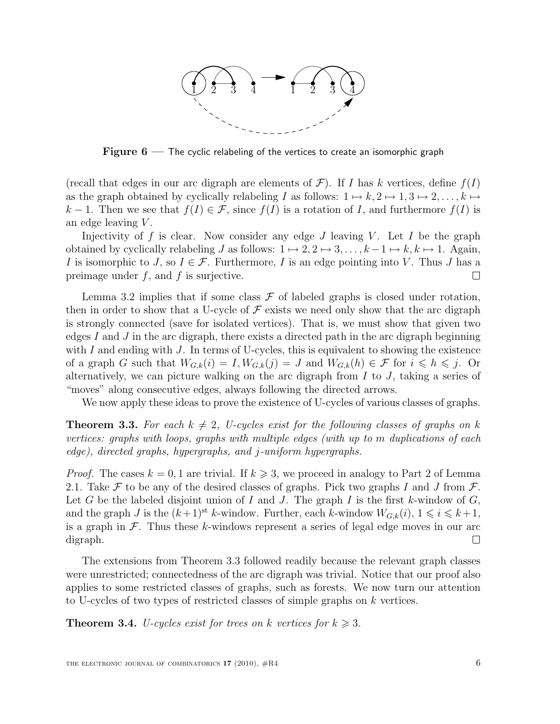

**Figure 6** — The cyclic relabeling of the vertices to create an isomorphic graph

(recall that edges in our arc digraph are elements of  $\mathcal{F}$ ). If I has k vertices, define  $f(I)$ as the graph obtained by cyclically relabeling I as follows:  $1 \mapsto k, 2 \mapsto 1, 3 \mapsto 2, \ldots, k \mapsto$ k − 1. Then we see that  $f(I) \in \mathcal{F}$ , since  $f(I)$  is a rotation of I, and furthermore  $f(I)$  is an edge leaving V .

Injectivity of  $f$  is clear. Now consider any edge  $J$  leaving  $V$ . Let  $I$  be the graph obtained by cyclically relabeling J as follows:  $1 \mapsto 2, 2 \mapsto 3, \ldots, k-1 \mapsto k, k \mapsto 1$ . Again, I is isomorphic to J, so  $I \in \mathcal{F}$ . Furthermore, I is an edge pointing into V. Thus J has a preimage under  $f$ , and  $f$  is surjective.  $\Box$ 

Lemma 3.2 implies that if some class  $\mathcal F$  of labeled graphs is closed under rotation, then in order to show that a U-cycle of  $\mathcal F$  exists we need only show that the arc digraph is strongly connected (save for isolated vertices). That is, we must show that given two edges I and J in the arc digraph, there exists a directed path in the arc digraph beginning with  $I$  and ending with  $J$ . In terms of U-cycles, this is equivalent to showing the existence of a graph G such that  $W_{G,k}(i) = I, W_{G,k}(j) = J$  and  $W_{G,k}(h) \in \mathcal{F}$  for  $i \leq k \leq j$ . Or alternatively, we can picture walking on the arc digraph from  $I$  to  $J$ , taking a series of "moves" along consecutive edges, always following the directed arrows.

We now apply these ideas to prove the existence of U-cycles of various classes of graphs.

**Theorem 3.3.** For each  $k \neq 2$ , U-cycles exist for the following classes of graphs on k vertices: graphs with loops, graphs with multiple edges (with up to m duplications of each edge), directed graphs, hypergraphs, and j-uniform hypergraphs.

*Proof.* The cases  $k = 0, 1$  are trivial. If  $k \geqslant 3$ , we proceed in analogy to Part 2 of Lemma 2.1. Take  $\mathcal F$  to be any of the desired classes of graphs. Pick two graphs I and J from  $\mathcal F$ . Let G be the labeled disjoint union of I and J. The graph I is the first k-window of  $G$ , and the graph J is the  $(k+1)^{st}$  k-window. Further, each k-window  $W_{G,k}(i)$ ,  $1 \leq i \leq k+1$ , is a graph in  $\mathcal F$ . Thus these k-windows represent a series of legal edge moves in our arc digraph.  $\Box$ 

The extensions from Theorem 3.3 followed readily because the relevant graph classes were unrestricted; connectedness of the arc digraph was trivial. Notice that our proof also applies to some restricted classes of graphs, such as forests. We now turn our attention to U-cycles of two types of restricted classes of simple graphs on k vertices.

**Theorem 3.4.** U-cycles exist for trees on k vertices for  $k \geq 3$ .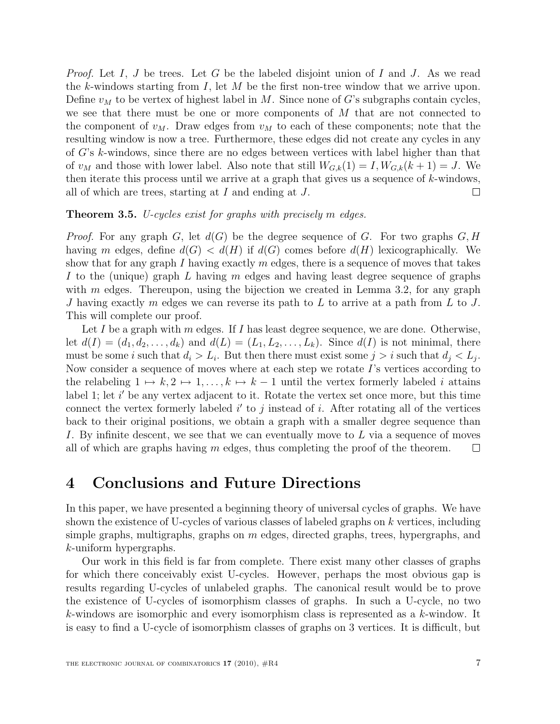*Proof.* Let I, J be trees. Let G be the labeled disjoint union of I and J. As we read the k-windows starting from I, let  $M$  be the first non-tree window that we arrive upon. Define  $v_M$  to be vertex of highest label in M. Since none of G's subgraphs contain cycles, we see that there must be one or more components of M that are not connected to the component of  $v_M$ . Draw edges from  $v_M$  to each of these components; note that the resulting window is now a tree. Furthermore, these edges did not create any cycles in any of G's k-windows, since there are no edges between vertices with label higher than that of  $v_M$  and those with lower label. Also note that still  $W_{G,k}(1) = I, W_{G,k}(k+1) = J$ . We then iterate this process until we arrive at a graph that gives us a sequence of  $k$ -windows, all of which are trees, starting at  $I$  and ending at  $J$ .  $\Box$ 

#### Theorem 3.5. U-cycles exist for graphs with precisely m edges.

*Proof.* For any graph G, let  $d(G)$  be the degree sequence of G. For two graphs G, H having m edges, define  $d(G) < d(H)$  if  $d(G)$  comes before  $d(H)$  lexicographically. We show that for any graph I having exactly  $m$  edges, there is a sequence of moves that takes I to the (unique) graph L having m edges and having least degree sequence of graphs with  $m$  edges. Thereupon, using the bijection we created in Lemma 3.2, for any graph J having exactly m edges we can reverse its path to L to arrive at a path from L to J. This will complete our proof.

Let I be a graph with m edges. If I has least degree sequence, we are done. Otherwise, let  $d(I) = (d_1, d_2, \ldots, d_k)$  and  $d(L) = (L_1, L_2, \ldots, L_k)$ . Since  $d(I)$  is not minimal, there must be some *i* such that  $d_i > L_i$ . But then there must exist some  $j > i$  such that  $d_j < L_j$ . Now consider a sequence of moves where at each step we rotate  $I$ 's vertices according to the relabeling  $1 \mapsto k, 2 \mapsto 1, \ldots, k \mapsto k-1$  until the vertex formerly labeled i attains label 1; let  $i'$  be any vertex adjacent to it. Rotate the vertex set once more, but this time connect the vertex formerly labeled  $i'$  to j instead of i. After rotating all of the vertices back to their original positions, we obtain a graph with a smaller degree sequence than I. By infinite descent, we see that we can eventually move to L via a sequence of moves all of which are graphs having  $m$  edges, thus completing the proof of the theorem.  $\Box$ 

### 4 Conclusions and Future Directions

In this paper, we have presented a beginning theory of universal cycles of graphs. We have shown the existence of U-cycles of various classes of labeled graphs on  $k$  vertices, including simple graphs, multigraphs, graphs on m edges, directed graphs, trees, hypergraphs, and k-uniform hypergraphs.

Our work in this field is far from complete. There exist many other classes of graphs for which there conceivably exist U-cycles. However, perhaps the most obvious gap is results regarding U-cycles of unlabeled graphs. The canonical result would be to prove the existence of U-cycles of isomorphism classes of graphs. In such a U-cycle, no two k-windows are isomorphic and every isomorphism class is represented as a k-window. It is easy to find a U-cycle of isomorphism classes of graphs on 3 vertices. It is difficult, but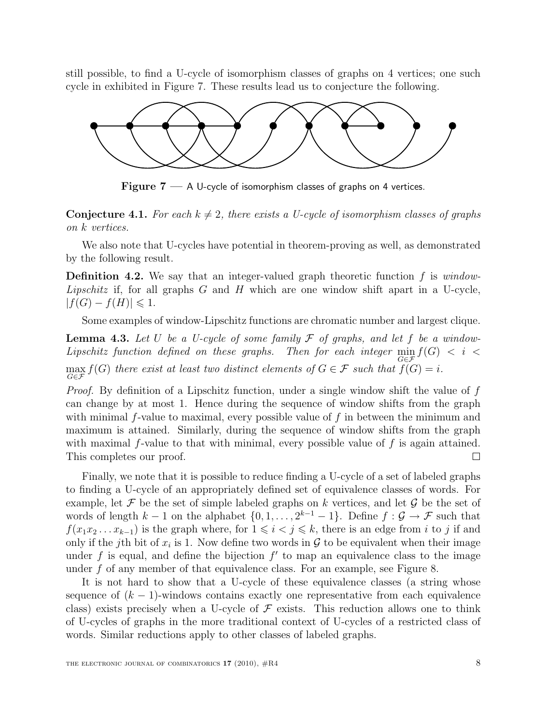still possible, to find a U-cycle of isomorphism classes of graphs on 4 vertices; one such cycle in exhibited in Figure 7. These results lead us to conjecture the following.



Figure  $7 - A$  U-cycle of isomorphism classes of graphs on 4 vertices.

**Conjecture 4.1.** For each  $k \neq 2$ , there exists a U-cycle of isomorphism classes of graphs on k vertices.

We also note that U-cycles have potential in theorem-proving as well, as demonstrated by the following result.

**Definition 4.2.** We say that an integer-valued graph theoretic function  $f$  is window-Lipschitz if, for all graphs  $G$  and  $H$  which are one window shift apart in a U-cycle,  $|f(G) - f(H)| \leq 1.$ 

Some examples of window-Lipschitz functions are chromatic number and largest clique.

**Lemma 4.3.** Let U be a U-cycle of some family  $\mathcal F$  of graphs, and let f be a window-Lipschitz function defined on these graphs. Then for each integer  $\min_{G \in \mathcal{F}} f(G) < i <$  $\max_{G \in \mathcal{F}} f(G)$  there exist at least two distinct elements of  $G \in \mathcal{F}$  such that  $f(G) = i$ .

*Proof.* By definition of a Lipschitz function, under a single window shift the value of  $f$ can change by at most 1. Hence during the sequence of window shifts from the graph with minimal  $f$ -value to maximal, every possible value of  $f$  in between the minimum and maximum is attained. Similarly, during the sequence of window shifts from the graph with maximal f-value to that with minimal, every possible value of  $f$  is again attained. This completes our proof.  $\Box$ 

Finally, we note that it is possible to reduce finding a U-cycle of a set of labeled graphs to finding a U-cycle of an appropriately defined set of equivalence classes of words. For example, let  $\mathcal F$  be the set of simple labeled graphs on k vertices, and let  $\mathcal G$  be the set of words of length  $k-1$  on the alphabet  $\{0, 1, \ldots, 2^{k-1} - 1\}$ . Define  $f : \mathcal{G} \to \mathcal{F}$  such that  $f(x_1x_2 \ldots x_{k-1})$  is the graph where, for  $1 \leq i \leq j \leq k$ , there is an edge from i to j if and only if the j<sup>th</sup> bit of  $x_i$  is 1. Now define two words in  $\mathcal G$  to be equivalent when their image under  $f$  is equal, and define the bijection  $f'$  to map an equivalence class to the image under f of any member of that equivalence class. For an example, see Figure 8.

It is not hard to show that a U-cycle of these equivalence classes (a string whose sequence of  $(k - 1)$ -windows contains exactly one representative from each equivalence class) exists precisely when a U-cycle of  $\mathcal F$  exists. This reduction allows one to think of U-cycles of graphs in the more traditional context of U-cycles of a restricted class of words. Similar reductions apply to other classes of labeled graphs.